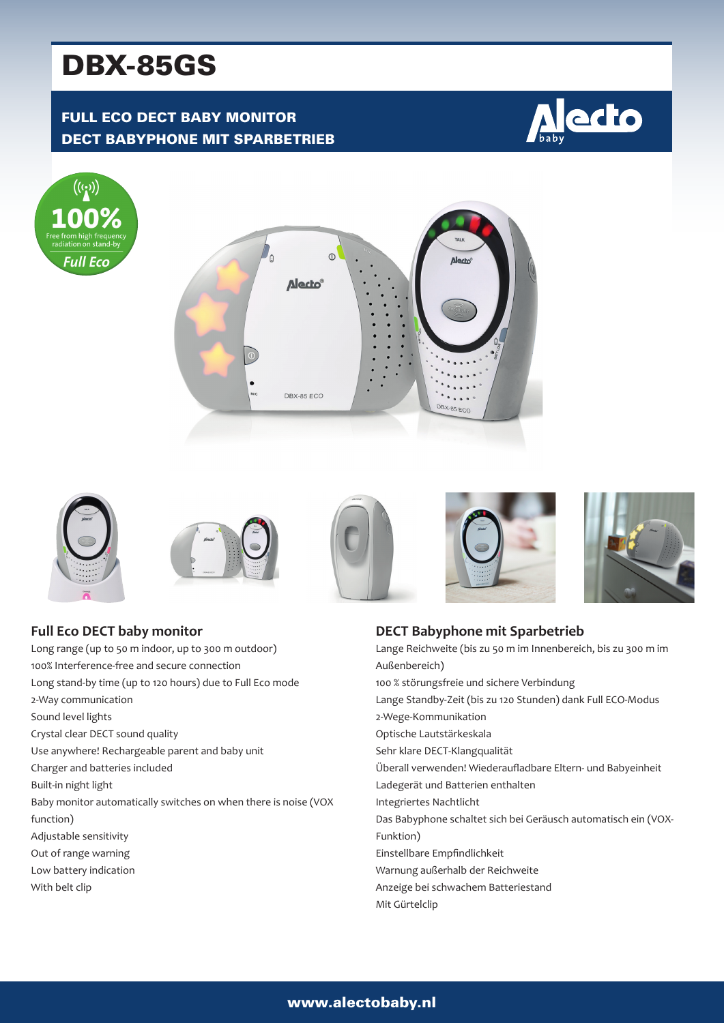# DBX-85GS

# FULL ECO DECT BABY MONITOR DECT BABYPHONE MIT SPARBETRIEB

















| <b>Full Eco DECT baby monitor</b>                               |
|-----------------------------------------------------------------|
| Long range (up to 50 m indoor, up to 300 m outdoor)             |
| 100% Interference-free and secure connection                    |
| Long stand-by time (up to 120 hours) due to Full Eco mode       |
| 2-Way communication                                             |
| Sound level lights                                              |
| Crystal clear DECT sound quality                                |
| Use anywhere! Rechargeable parent and baby unit                 |
| Charger and batteries included                                  |
| Built-in night light                                            |
| Baby monitor automatically switches on when there is noise (VOX |
| function)                                                       |
| Adjustable sensitivity                                          |
| Out of range warning                                            |
| Low battery indication                                          |
| With belt clip                                                  |

## **DECT Babyphone mit Sparbetrieb** Lange Reichweite (bis zu 50 m im Innenbereich, bis zu 300 m im Außenbereich) 100 % störungsfreie und sichere Verbindung Lange Standby-Zeit (bis zu 120 Stunden) dank Full ECO-Modus 2-Wege-Kommunikation Optische Lautstärkeskala Sehr klare DECT-Klangqualität Überall verwenden! Wiederaufladbare Eltern- und Babyeinheit Ladegerät und Batterien enthalten Integriertes Nachtlicht Das Babyphone schaltet sich bei Geräusch automatisch ein (VOX-Funktion) Einstellbare Empfindlichkeit Warnung außerhalb der Reichweite Anzeige bei schwachem Batteriestand Mit Gürtelclip